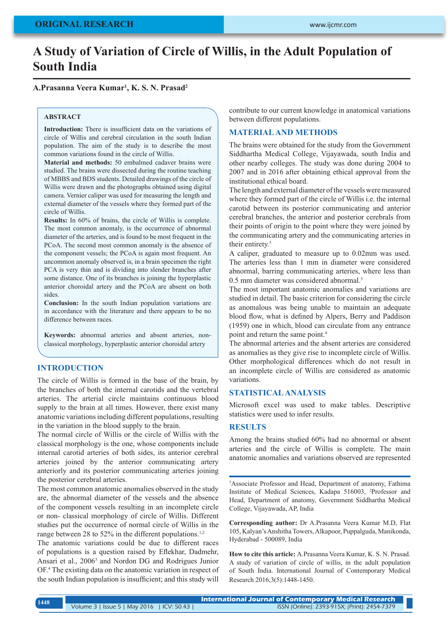# **A Study of Variation of Circle of Willis, in the Adult Population of South India**

# **A.Prasanna Veera Kumar1 , K. S. N. Prasad2**

#### **ABSTRACT**

**Introduction:** There is insufficient data on the variations of circle of Willis and cerebral circulation in the south Indian population. The aim of the study is to describe the most common variations found in the circle of Willis.

**Material and methods:** 50 embalmed cadaver brains were studied. The brains were dissected during the routine teaching of MBBS and BDS students. Detailed drawings of the circle of Willis were drawn and the photographs obtained using digital camera. Vernier caliper was used for measuring the length and external diameter of the vessels where they formed part of the circle of Willis.

**Results:** In 60% of brains, the circle of Willis is complete. The most common anomaly, is the occurrence of abnormal diameter of the arteries, and is found to be most frequent in the PCoA. The second most common anomaly is the absence of the component vessels; the PCoA is again most frequent. An uncommon anomaly observed is, in a brain specimen the right PCA is very thin and is dividing into slender branches after some distance. One of its branches is joining the hyperplastic anterior choroidal artery and the PCoA are absent on both sides.

**Conclusion:** In the south Indian population variations are in accordance with the literature and there appears to be no difference between races.

**Keywords:** abnormal arteries and absent arteries, nonclassical morphology, hyperplastic anterior choroidal artery

# **INTRODUCTION**

The circle of Willis is formed in the base of the brain, by the branches of both the internal carotids and the vertebral arteries. The arterial circle maintains continuous blood supply to the brain at all times. However, there exist many anatomic variations including different populations, resulting in the variation in the blood supply to the brain.

The normal circle of Willis or the circle of Willis with the classical morphology is the one, whose components include internal carotid arteries of both sides, its anterior cerebral arteries joined by the anterior communicating artery anteriorly and its posterior communicating arteries joining the posterior cerebral arteries.

The most common anatomic anomalies observed in the study are, the abnormal diameter of the vessels and the absence of the component vessels resulting in an incomplete circle or non- classical morphology of circle of Willis. Different studies put the occurrence of normal circle of Willis in the range between 28 to 52% in the different populations.<sup>1,2</sup>

The anatomic variations could be due to different races of populations is a question raised by Eflekhar, Dadmehr, Ansari et al., 2006<sup>3</sup> and Nordon DG and Rodrigues Junior OF.<sup>4</sup> The existing data on the anatomic variation in respect of the south Indian population is insufficient; and this study will

contribute to our current knowledge in anatomical variations between different populations.

## **MATERIAL AND METHODS**

The brains were obtained for the study from the Government Siddhartha Medical College, Vijayawada, south India and other nearby colleges. The study was done during 2004 to 2007 and in 2016 after obtaining ethical approval from the institutional ethical board.

The length and external diameter of the vessels were measured where they formed part of the circle of Willis i.e. the internal carotid between its posterior communicating and anterior cerebral branches, the anterior and posterior cerebrals from their points of origin to the point where they were joined by the communicating artery and the communicating arteries in their entirety.<sup>5</sup>

A caliper, graduated to measure up to 0.02mm was used. The arteries less than 1 mm in diameter were considered abnormal, barring communicating arteries, where less than 0.5 mm diameter was considered abnormal.<sup>5</sup>

The most important anatomic anomalies and variations are studied in detail. The basic criterion for considering the circle as anomalous was being unable to maintain an adequate blood flow, what is defined by Alpers, Berry and Paddison (1959) one in which, blood can circulate from any entrance point and return the same point.<sup>4</sup>

The abnormal arteries and the absent arteries are considered as anomalies as they give rise to incomplete circle of Willis. Other morphological differences which do not result in an incomplete circle of Willis are considered as anatomic variations.

#### **STATISTICAL ANALYSIS**

Microsoft excel was used to make tables. Descriptive statistics were used to infer results.

#### **RESULTS**

Among the brains studied 60% had no abnormal or absent arteries and the circle of Willis is complete. The main anatomic anomalies and variations observed are represented

<sup>1</sup>Associate Professor and Head, Department of anatomy, Fathima Institute of Medical Sciences, Kadapa 516003, 2 Professor and Head, Department of anatomy, Government Siddhartha Medical College, Vijayawada, AP, India

**Corresponding author:** Dr A.Prasanna Veera Kumar M.D, Flat 105, Kalyan's Anshitha Towers, Alkapoor, Puppalguda, Manikonda, Hyderabad - 500089, India

**How to cite this article:** A.Prasanna Veera Kumar, K. S. N. Prasad. A study of variation of circle of willis, in the adult population of South India. International Journal of Contemporary Medical Research 2016;3(5):1448-1450.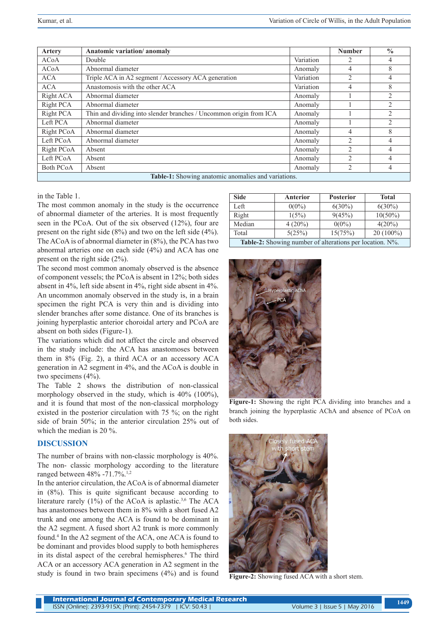| Artery                                              | Anatomic variation/anomaly                                         |           | <b>Number</b>            | $\frac{0}{0}$  |  |  |
|-----------------------------------------------------|--------------------------------------------------------------------|-----------|--------------------------|----------------|--|--|
| <b>ACoA</b>                                         | Double                                                             | Variation | 2                        | 4              |  |  |
| <b>ACoA</b>                                         | Abnormal diameter                                                  | Anomaly   | $\overline{4}$           | 8              |  |  |
| <b>ACA</b>                                          | Triple ACA in A2 segment / Accessory ACA generation                | Variation | $\overline{2}$           | 4              |  |  |
| <b>ACA</b>                                          | Anastomosis with the other ACA                                     | Variation | 4                        | 8              |  |  |
| Right ACA                                           | Abnormal diameter                                                  | Anomaly   |                          | $\mathfrak{D}$ |  |  |
| Right PCA                                           | Abnormal diameter                                                  | Anomaly   |                          | $\mathfrak{D}$ |  |  |
| Right PCA                                           | Thin and dividing into slender branches / Uncommon origin from ICA | Anomaly   |                          | $\overline{c}$ |  |  |
| Left PCA                                            | Abnormal diameter                                                  | Anomaly   |                          | $\mathfrak{D}$ |  |  |
| Right PCoA                                          | Abnormal diameter                                                  | Anomaly   | 4                        | 8              |  |  |
| Left PCoA                                           | Abnormal diameter                                                  | Anomaly   | $\mathfrak{D}$           | $\overline{4}$ |  |  |
| Right PCoA                                          | Absent                                                             | Anomaly   | $\overline{2}$           | 4              |  |  |
| Left PCoA                                           | Absent                                                             | Anomaly   | $\overline{2}$           | 4              |  |  |
| Both PCoA                                           | Absent                                                             | Anomaly   | $\mathfrak{D}_{1}^{(1)}$ | 4              |  |  |
| Table-1: Showing anatomic anomalies and variations. |                                                                    |           |                          |                |  |  |

in the Table 1.

The most common anomaly in the study is the occurrence of abnormal diameter of the arteries. It is most frequently seen in the PCoA. Out of the six observed (12%), four are present on the right side (8%) and two on the left side (4%). The ACoA is of abnormal diameter in (8%), the PCA has two abnormal arteries one on each side (4%) and ACA has one present on the right side (2%).

The second most common anomaly observed is the absence of component vessels; the PCoA is absent in 12%; both sides absent in 4%, left side absent in 4%, right side absent in 4%. An uncommon anomaly observed in the study is, in a brain specimen the right PCA is very thin and is dividing into slender branches after some distance. One of its branches is joining hyperplastic anterior choroidal artery and PCoA are absent on both sides (Figure-1).

The variations which did not affect the circle and observed in the study include: the ACA has anastomoses between them in 8% (Fig. 2), a third ACA or an accessory ACA generation in A2 segment in 4%, and the ACoA is double in two specimens (4%).

The Table 2 shows the distribution of non-classical morphology observed in the study, which is 40% (100%), and it is found that most of the non-classical morphology existed in the posterior circulation with 75 %; on the right side of brain 50%; in the anterior circulation 25% out of which the median is 20 %.

## **DISCUSSION**

The number of brains with non-classic morphology is 40%. The non- classic morphology according to the literature ranged between 48% -71.7%.<sup>1,2</sup>

In the anterior circulation, the ACoA is of abnormal diameter in (8%). This is quite significant because according to literature rarely (1%) of the ACoA is aplastic.3,6 The ACA has anastomoses between them in 8% with a short fused A2 trunk and one among the ACA is found to be dominant in the A2 segment. A fused short A2 trunk is more commonly found.<sup>4</sup> In the A2 segment of the ACA, one ACA is found to be dominant and provides blood supply to both hemispheres in its distal aspect of the cerebral hemispheres.<sup>6</sup> The third ACA or an accessory ACA generation in A2 segment in the study is found in two brain specimens (4%) and is found

| <b>Side</b>                                                     | <b>Anterior</b> | <b>Posterior</b> | <b>Total</b> |  |  |
|-----------------------------------------------------------------|-----------------|------------------|--------------|--|--|
| Left                                                            | $0(0\%)$        | $6(30\%)$        | $6(30\%)$    |  |  |
| Right                                                           | 1(5%)           | 9(45%)           | $10(50\%)$   |  |  |
| Median                                                          | $4(20\%)$       | $0(0\%)$         | $4(20\%)$    |  |  |
| Total                                                           | 5(25%)          | 15(75%)          | $20(100\%)$  |  |  |
| <b>Table-2:</b> Showing number of alterations per location. N%. |                 |                  |              |  |  |



**Figure-1:** Showing the right PCA dividing into branches and a branch joining the hyperplastic AChA and absence of PCoA on both sides.



**Figure-2:** Showing fused ACA with a short stem.